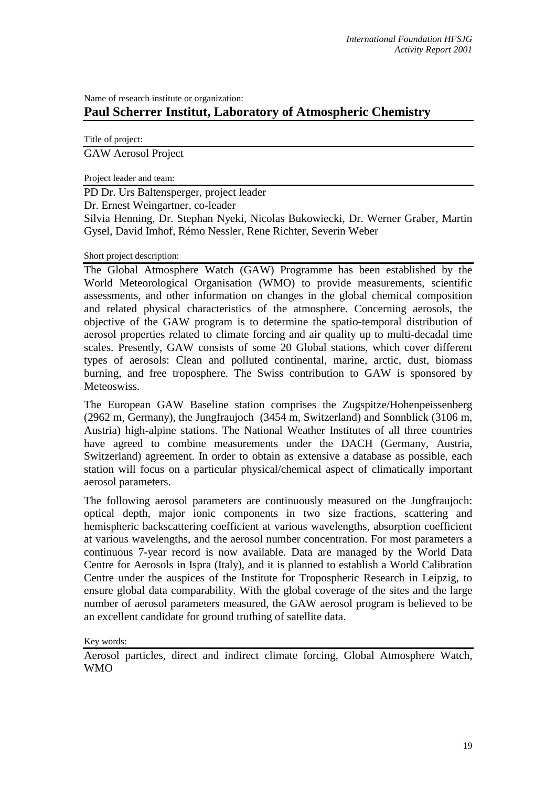## Name of research institute or organization: **Paul Scherrer Institut, Laboratory of Atmospheric Chemistry**

Title of project:

GAW Aerosol Project

Project leader and team:

PD Dr. Urs Baltensperger, project leader

Dr. Ernest Weingartner, co-leader

Silvia Henning, Dr. Stephan Nyeki, Nicolas Bukowiecki, Dr. Werner Graber, Martin Gysel, David Imhof, Rémo Nessler, Rene Richter, Severin Weber

Short project description:

The Global Atmosphere Watch (GAW) Programme has been established by the World Meteorological Organisation (WMO) to provide measurements, scientific assessments, and other information on changes in the global chemical composition and related physical characteristics of the atmosphere. Concerning aerosols, the objective of the GAW program is to determine the spatio-temporal distribution of aerosol properties related to climate forcing and air quality up to multi-decadal time scales. Presently, GAW consists of some 20 Global stations, which cover different types of aerosols: Clean and polluted continental, marine, arctic, dust, biomass burning, and free troposphere. The Swiss contribution to GAW is sponsored by Meteoswiss.

The European GAW Baseline station comprises the Zugspitze/Hohenpeissenberg (2962 m, Germany), the Jungfraujoch (3454 m, Switzerland) and Sonnblick (3106 m, Austria) high-alpine stations. The National Weather Institutes of all three countries have agreed to combine measurements under the DACH (Germany, Austria, Switzerland) agreement. In order to obtain as extensive a database as possible, each station will focus on a particular physical/chemical aspect of climatically important aerosol parameters.

The following aerosol parameters are continuously measured on the Jungfraujoch: optical depth, major ionic components in two size fractions, scattering and hemispheric backscattering coefficient at various wavelengths, absorption coefficient at various wavelengths, and the aerosol number concentration. For most parameters a continuous 7-year record is now available. Data are managed by the World Data Centre for Aerosols in Ispra (Italy), and it is planned to establish a World Calibration Centre under the auspices of the Institute for Tropospheric Research in Leipzig, to ensure global data comparability. With the global coverage of the sites and the large number of aerosol parameters measured, the GAW aerosol program is believed to be an excellent candidate for ground truthing of satellite data.

Key words:

Aerosol particles, direct and indirect climate forcing, Global Atmosphere Watch, WMO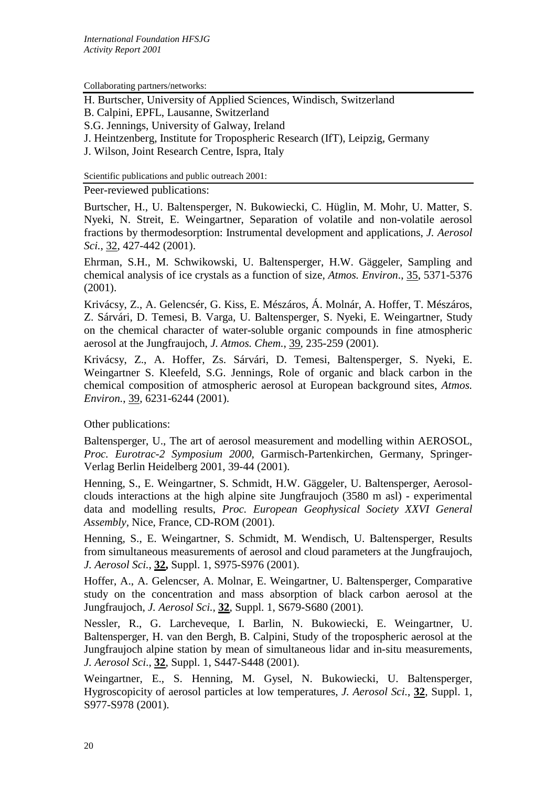Collaborating partners/networks:

H. Burtscher, University of Applied Sciences, Windisch, Switzerland

B. Calpini, EPFL, Lausanne, Switzerland

S.G. Jennings, University of Galway, Ireland

J. Heintzenberg, Institute for Tropospheric Research (IfT), Leipzig, Germany

J. Wilson, Joint Research Centre, Ispra, Italy

Scientific publications and public outreach 2001:

Peer-reviewed publications:

Burtscher, H., U. Baltensperger, N. Bukowiecki, C. Hüglin, M. Mohr, U. Matter, S. Nyeki, N. Streit, E. Weingartner, Separation of volatile and non-volatile aerosol fractions by thermodesorption: Instrumental development and applications, *J. Aerosol Sci.*, 32, 427-442 (2001).

Ehrman, S.H., M. Schwikowski, U. Baltensperger, H.W. Gäggeler, Sampling and chemical analysis of ice crystals as a function of size, *Atmos. Environ*., 35, 5371-5376 (2001).

Krivácsy, Z., A. Gelencsér, G. Kiss, E. Mészáros, Á. Molnár, A. Hoffer, T. Mészáros, Z. Sárvári, D. Temesi, B. Varga, U. Baltensperger, S. Nyeki, E. Weingartner, Study on the chemical character of water-soluble organic compounds in fine atmospheric aerosol at the Jungfraujoch, *J. Atmos. Chem.*, 39, 235-259 (2001).

Krivácsy, Z., A. Hoffer, Zs. Sárvári, D. Temesi, Baltensperger, S. Nyeki, E. Weingartner S. Kleefeld, S.G. Jennings, Role of organic and black carbon in the chemical composition of atmospheric aerosol at European background sites, *Atmos. Environ.*, 39, 6231-6244 (2001).

Other publications:

Baltensperger, U., The art of aerosol measurement and modelling within AEROSOL, *Proc. Eurotrac-2 Symposium 2000*, Garmisch-Partenkirchen, Germany, Springer-Verlag Berlin Heidelberg 2001, 39-44 (2001).

Henning, S., E. Weingartner, S. Schmidt, H.W. Gäggeler, U. Baltensperger, Aerosolclouds interactions at the high alpine site Jungfraujoch (3580 m asl) - experimental data and modelling results, *Proc. European Geophysical Society XXVI General Assembly,* Nice, France, CD-ROM (2001).

Henning, S., E. Weingartner, S. Schmidt, M. Wendisch, U. Baltensperger, Results from simultaneous measurements of aerosol and cloud parameters at the Jungfraujoch, *J. Aerosol Sci.*, **32,** Suppl. 1, S975-S976 (2001).

Hoffer, A., A. Gelencser, A. Molnar, E. Weingartner, U. Baltensperger, Comparative study on the concentration and mass absorption of black carbon aerosol at the Jungfraujoch, *J. Aerosol Sci.*, **32**, Suppl. 1, S679-S680 (2001).

Nessler, R., G. Larcheveque, I. Barlin, N. Bukowiecki, E. Weingartner, U. Baltensperger, H. van den Bergh, B. Calpini, Study of the tropospheric aerosol at the Jungfraujoch alpine station by mean of simultaneous lidar and in-situ measurements, *J. Aerosol Sci*., **32**, Suppl. 1, S447-S448 (2001).

Weingartner, E., S. Henning, M. Gysel, N. Bukowiecki, U. Baltensperger, Hygroscopicity of aerosol particles at low temperatures, *J. Aerosol Sci.*, **32**, Suppl. 1, S977-S978 (2001).